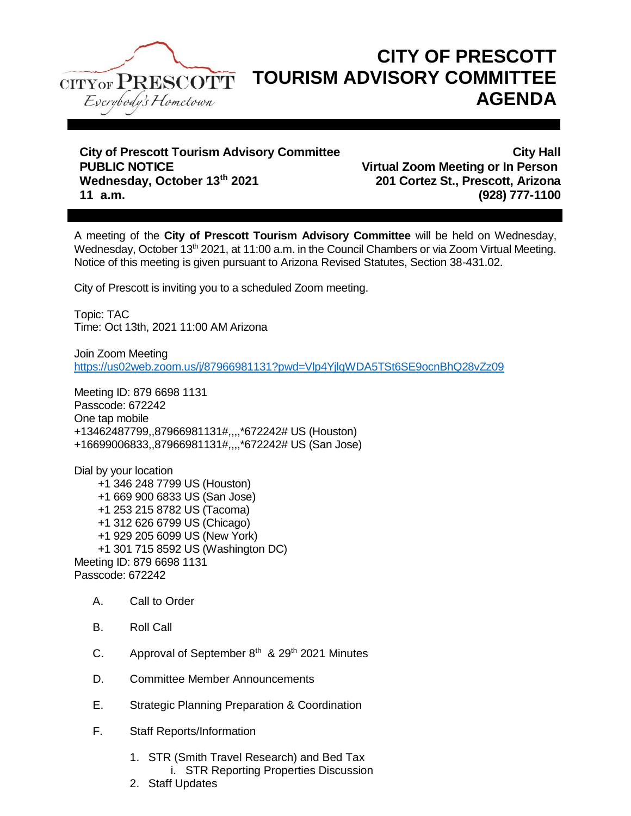

## **CITY OF PRESCOTT TOURISM ADVISORY COMMITTEE AGENDA**

**City of Prescott Tourism Advisory Committee City Hall PUBLIC NOTICE Virtual Zoom Meeting or In Person 11 a.m. (928) 777-1100**

**Wednesday, October 13th 2021 201 Cortez St., Prescott, Arizona**

A meeting of the **City of Prescott Tourism Advisory Committee** will be held on Wednesday, Wednesday, October 13<sup>th</sup> 2021, at 11:00 a.m. in the Council Chambers or via Zoom Virtual Meeting. Notice of this meeting is given pursuant to Arizona Revised Statutes, Section 38-431.02.

City of Prescott is inviting you to a scheduled Zoom meeting.

Topic: TAC Time: Oct 13th, 2021 11:00 AM Arizona

Join Zoom Meeting <https://us02web.zoom.us/j/87966981131?pwd=Vlp4YjlqWDA5TSt6SE9ocnBhQ28vZz09>

Meeting ID: 879 6698 1131 Passcode: 672242 One tap mobile +13462487799,,87966981131#,,,,\*672242# US (Houston) +16699006833,,87966981131#,,,,\*672242# US (San Jose)

Dial by your location +1 346 248 7799 US (Houston) +1 669 900 6833 US (San Jose) +1 253 215 8782 US (Tacoma) +1 312 626 6799 US (Chicago) +1 929 205 6099 US (New York) +1 301 715 8592 US (Washington DC) Meeting ID: 879 6698 1131 Passcode: 672242

- A. Call to Order
- B. Roll Call
- C. Approval of September  $8<sup>th</sup>$  & 29<sup>th</sup> 2021 Minutes
- D. Committee Member Announcements
- E. Strategic Planning Preparation & Coordination
- F. Staff Reports/Information
	- 1. STR (Smith Travel Research) and Bed Tax i. STR Reporting Properties Discussion
	- 2. Staff Updates